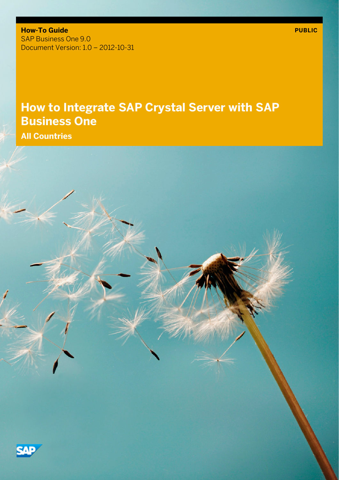**How-To Guide** SAP Business One 9.0 Document Version: 1.0 – 2012-10-31

## **How to Integrate SAP Crystal Server with SAP Business One**

**All Countries**

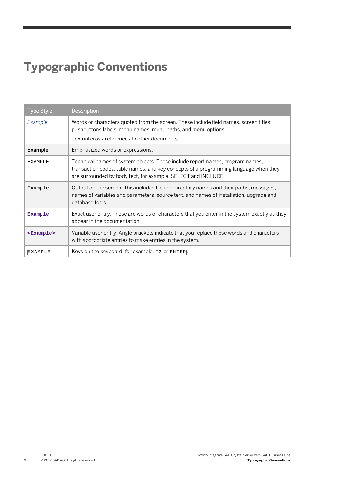# **Typographic Conventions**

| <b>Type Style</b> | Description                                                                                                                                                                                                                            |
|-------------------|----------------------------------------------------------------------------------------------------------------------------------------------------------------------------------------------------------------------------------------|
| Example           | Words or characters quoted from the screen. These include field names, screen titles,<br>pushbuttons labels, menu names, menu paths, and menu options.<br>Textual cross-references to other documents.                                 |
| Example           | Emphasized words or expressions.                                                                                                                                                                                                       |
| <b>EXAMPLE</b>    | Technical names of system objects. These include report names, program names,<br>transaction codes, table names, and key concepts of a programming language when they<br>are surrounded by body text, for example, SELECT and INCLUDE. |
| Example           | Output on the screen. This includes file and directory names and their paths, messages,<br>names of variables and parameters, source text, and names of installation, upgrade and<br>database tools.                                   |
| Example           | Exact user entry. These are words or characters that you enter in the system exactly as they<br>appear in the documentation.                                                                                                           |
| $<$ Example>      | Variable user entry. Angle brackets indicate that you replace these words and characters<br>with appropriate entries to make entries in the system.                                                                                    |
| <b>EXAMPLE</b>    | Keys on the keyboard, for example, $F2$ or $ETER$ .                                                                                                                                                                                    |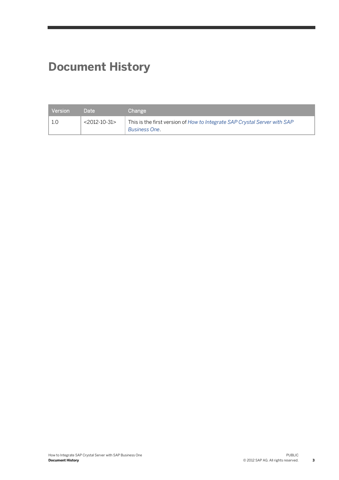# **Document History**

| <b>Version</b> | Date            | Change                                                                                            |
|----------------|-----------------|---------------------------------------------------------------------------------------------------|
|                | $<$ 2012-10-31> | This is the first version of How to Integrate SAP Crystal Server with SAP<br><b>Business One.</b> |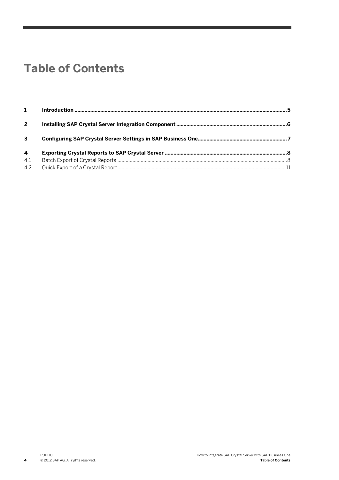## **Table of Contents**

| $2^{\circ}$  |  |
|--------------|--|
| $\mathbf{3}$ |  |
| 4            |  |
| 4.1          |  |
| 4.2          |  |

**4**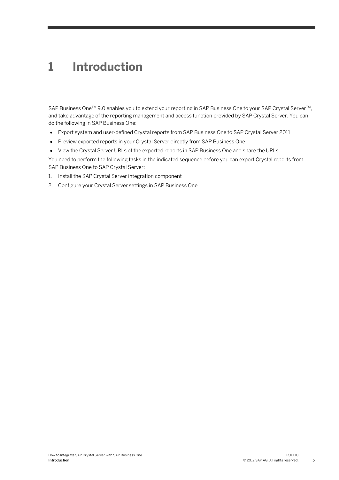### **1 Introduction**

SAP Business One™ 9.0 enables you to extend your reporting in SAP Business One to your SAP Crystal Server™, and take advantage of the reporting management and access function provided by SAP Crystal Server. You can do the following in SAP Business One:

- Export system and user-defined Crystal reports from SAP Business One to SAP Crystal Server 2011
- Preview exported reports in your Crystal Server directly from SAP Business One
- View the Crystal Server URLs of the exported reports in SAP Business One and share the URLs

You need to perform the following tasks in the indicated sequence before you can export Crystal reports from SAP Business One to SAP Crystal Server:

- 1. Install the SAP Crystal Server integration component
- 2. Configure your Crystal Server settings in SAP Business One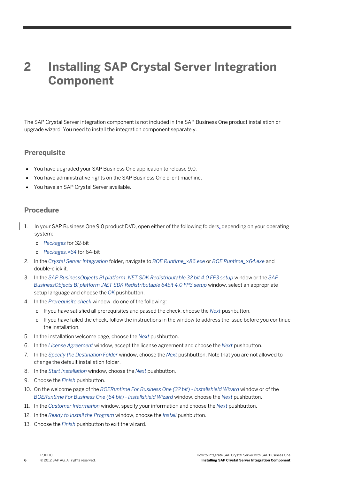## **2 Installing SAP Crystal Server Integration Component**

The SAP Crystal Server integration component is not included in the SAP Business One product installation or upgrade wizard. You need to install the integration component separately.

#### **Prerequisite**

- You have upgraded your SAP Business One application to release 9.0.
- You have administrative rights on the SAP Business One client machine.
- You have an SAP Crystal Server available.

#### **Procedure**

- 1. In your SAP Business One 9.0 product DVD, open either of the following folders, depending on your operating system:
	- o *Packages* for 32-bit
	- o *Packages.×64* for 64-bit
- 2. In the *Crystal Server Integration* folder, navigate to *BOE Runtime\_×86.exe* or *BOE Runtime\_×64.exe* and double-click it.
- 3. In the *SAP BusinessObjects BI platform .NET SDK Redistributable 32 bit 4.0 FP3 setup* window or the *SAP BusinessObjects BI platform .NET SDK Redistributable 64bit 4.0 FP3 setup* window, select an appropriate setup language and choose the *OK* pushbutton.
- 4. In the *Prerequisite check* window, do one of the following:
	- o If you have satisfied all prerequisites and passed the check, choose the *Next* pushbutton.
	- o If you have failed the check, follow the instructions in the window to address the issue before you continue the installation.
- 5. In the installation welcome page, choose the *Next* pushbutton.
- 6. In the *License Agreement* window, accept the license agreement and choose the *Next* pushbutton.
- 7. In the *Specify the Destination Folder* window, choose the *Next* pushbutton. Note that you are not allowed to change the default installation folder.
- 8. In the *Start Installation* window, choose the *Next* pushbutton.
- 9. Choose the *Finish* pushbutton.
- 10. On the welcome page of the *BOERuntime For Business One (32 bit) - Installshield Wizard* window or of the *BOERuntime For Business One (64 bit) - Installshield Wizard* window, choose the *Next* pushbutton.
- 11. In the *Customer Information* window, specify your information and choose the *Next* pushbutton.
- 12. In the *Ready to Install the Program* window, choose the *Install* pushbutton.
- 13. Choose the *Finish* pushbutton to exit the wizard.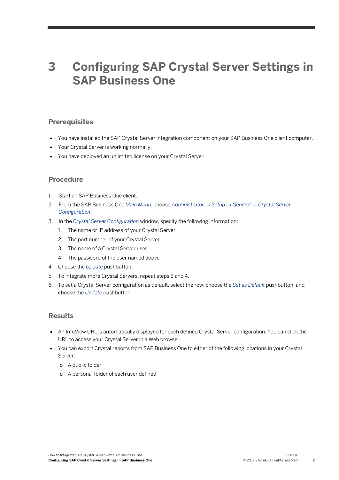### **3 Configuring SAP Crystal Server Settings in SAP Business One**

#### **Prerequisites**

- You have installed the SAP Crystal Server integration component on your SAP Business One client computer.
- Your Crystal Server is working normally.
- You have deployed an unlimited license on your Crystal Server.

#### **Procedure**

- 1. Start an SAP Business One client.
- 2. From the SAP Business One *Main Menu*, choose *Administrator* → *Setup* → *General* → *Crystal Server Configuration*.
- 3. In the *Crystal Server Configuration* window, specify the following information:
	- 1. The name or IP address of your Crystal Server
	- 2. The port number of your Crystal Server
	- 3. The name of a Crystal Server user
	- 4. The password of the user named above
- 4. Choose the *Update* pushbutton.
- 5. To integrate more Crystal Servers, repeat steps 3 and 4.
- 6. To set a Crystal Server configuration as default, select the row, choose the *Set as Default* pushbutton, and choose the *Update* pushbutton.

#### **Results**

- An InfoView URL is automatically displayed for each defined Crystal Server configuration. You can click the URL to access your Crystal Server in a Web browser.
- You can export Crystal reports from SAP Business One to either of the following locations in your Crystal Server:
	- o A public folder
	- o A personal folder of each user defined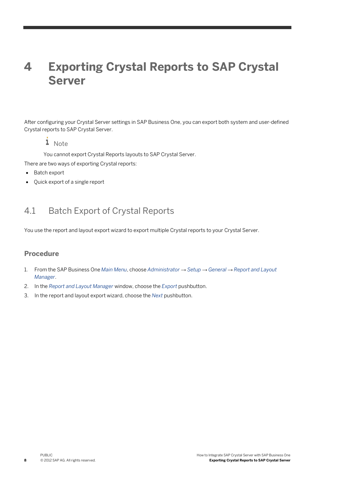## **4 Exporting Crystal Reports to SAP Crystal Server**

After configuring your Crystal Server settings in SAP Business One, you can export both system and user-defined Crystal reports to SAP Crystal Server.

### 1 Note

You cannot export Crystal Reports layouts to SAP Crystal Server. There are two ways of exporting Crystal reports:

- Batch export
- Quick export of a single report

### 4.1 Batch Export of Crystal Reports

You use the report and layout export wizard to export multiple Crystal reports to your Crystal Server.

### **Procedure**

- 1. From the SAP Business One *Main Menu*, choose *Administrator* → *Setup* → *General* → *Report and Layout Manager*.
- 2. In the *Report and Layout Manager* window, choose the *Export* pushbutton.
- 3. In the report and layout export wizard, choose the *Next* pushbutton.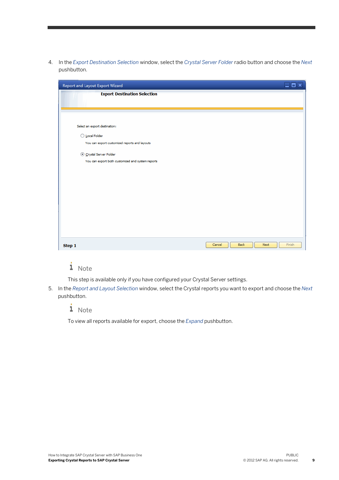4. In the *Export Destination Selection* window, select the *Crystal Server Folder* radio button and choose the *Next* pushbutton.

| Report and Layout Export Wizard                   | <b>e</b> lak                     |
|---------------------------------------------------|----------------------------------|
| <b>Export Destination Selection</b>               |                                  |
|                                                   |                                  |
|                                                   |                                  |
|                                                   |                                  |
| Select an export destination:                     |                                  |
| O Local Folder                                    |                                  |
| You can export customized reports and layouts     |                                  |
| © Crystal Server Folder                           |                                  |
| You can export both customized and system reports |                                  |
|                                                   |                                  |
|                                                   |                                  |
|                                                   |                                  |
|                                                   |                                  |
|                                                   |                                  |
|                                                   |                                  |
|                                                   |                                  |
|                                                   |                                  |
|                                                   |                                  |
| Step 1                                            | Finish<br>Back<br>Cancel<br>Next |

### $i$  Note

This step is available only if you have configured your Crystal Server settings.

5. In the *Report and Layout Selection* window, select the Crystal reports you want to export and choose the *Next* pushbutton.

 $i$  Note

To view all reports available for export, choose the *Expand* pushbutton.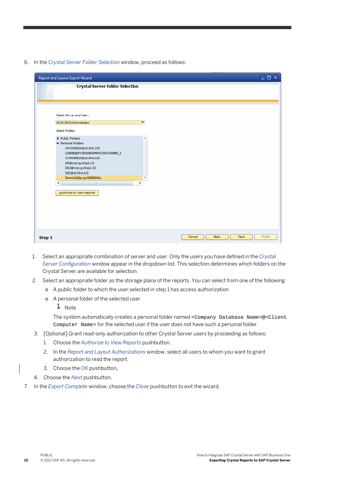6. In the *Crystal Server Folder Selection* window, proceed as follows:

| Report and Layout Export Wizard                            |                                        |   |        |              | <b>Einix</b> |
|------------------------------------------------------------|----------------------------------------|---|--------|--------------|--------------|
|                                                            | <b>Crystal Server Folder Selection</b> |   |        |              |              |
|                                                            |                                        |   |        |              |              |
|                                                            |                                        |   |        |              |              |
|                                                            |                                        |   |        |              |              |
| Select Server and User:                                    |                                        |   |        |              |              |
| 10.59.39.0\Administrator                                   | ٠                                      |   |        |              |              |
| Select Folder:                                             |                                        |   |        |              |              |
|                                                            |                                        |   |        |              |              |
| Public Folders                                             |                                        | Ä |        |              |              |
| Personal Folders                                           |                                        |   |        |              |              |
| CRODE0826@10.59.6.220                                      |                                        |   |        |              |              |
| US8080@PVGD50803999A\INST2008R2_1<br>CORDE0829@10.59.6.220 |                                        |   |        |              |              |
|                                                            |                                        |   |        |              |              |
| DE@cnpvgvb1p2v32<br>DE2@cnpvgvb1p2v32                      |                                        |   |        |              |              |
| DE2@10.59.6.132                                            |                                        |   |        |              |              |
| DemoUS@pvgn50808942a                                       |                                        | Ψ |        |              |              |
| $\frac{1+\delta}{1+\delta}$                                | Þ                                      |   |        |              |              |
|                                                            |                                        |   |        |              |              |
| Authorize to View Reports                                  |                                        |   |        |              |              |
|                                                            |                                        |   |        |              |              |
|                                                            |                                        |   |        |              |              |
|                                                            |                                        |   |        |              |              |
|                                                            |                                        |   |        |              |              |
|                                                            |                                        |   |        |              |              |
|                                                            |                                        |   |        |              |              |
|                                                            |                                        |   |        |              |              |
|                                                            |                                        |   | Cancel | Back<br>Next | Finish       |
|                                                            |                                        |   |        |              |              |

- 1. Select an appropriate combination of server and user. Only the users you have defined in the *Crystal Server Configuration* window appear in the dropdown list. This selection determines which folders on the Crystal Server are available for selection.
- 2. Select an appropriate folder as the storage place of the reports. You can select from one of the following:
	- o A public folder to which the user selected in step 1 has access authorization
	- o A personal folder of the selected user

 $\blacksquare$  Note

The system automatically creates a personal folder named <Company Database Name>@<Client Computer Name> for the selected user if the user does not have such a personal folder.

- 3. [Optional] Grant read-only authorization to other Crystal Server users by proceeding as follows:
	- 1. Choose the *Authorize to View Reports* pushbutton.
	- 2. In the *Report and Layout Authorizations* window, select all users to whom you want to grant authorization to read the report.
	- 3. Choose the *OK* pushbutton.
- 4. Choose the *Next* pushbutton.
- 7. In the *Export Complete* window, choose the *Close* pushbutton to exit the wizard.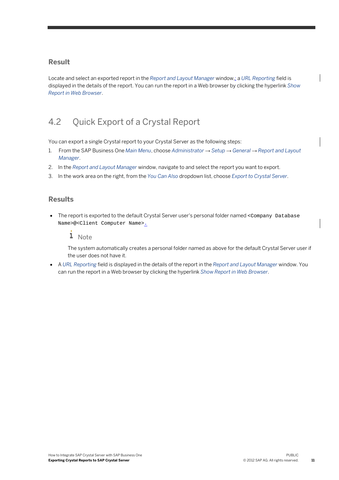#### **Result**

Locate and select an exported report in the *Report and Layout Manager* window,; a *URL Reporting* field is displayed in the details of the report. You can run the report in a Web browser by clicking the hyperlink *Show Report in Web Browser*.

### 4.2 Quick Export of a Crystal Report

You can export a single Crystal report to your Crystal Server as the following steps:

- 1. From the SAP Business One *Main Menu*, choose *Administrator* → *Setup* → *General* → *Report and Layout Manager*.
- 2. In the *Report and Layout Manager* window, navigate to and select the report you want to export.
- 3. In the work area on the right, from the *You Can Also* dropdown list, choose *Export to Crystal Server*.

### **Results**

• The report is exported to the default Crystal Server user's personal folder named <Company Database Name>@<Client Computer Name>.

### 1 Note

The system automatically creates a personal folder named as above for the default Crystal Server user if the user does not have it.

• A *URL Reporting* field is displayed in the details of the report in the *Report and Layout Manager* window. You can run the report in a Web browser by clicking the hyperlink *Show Report in Web Browser*.